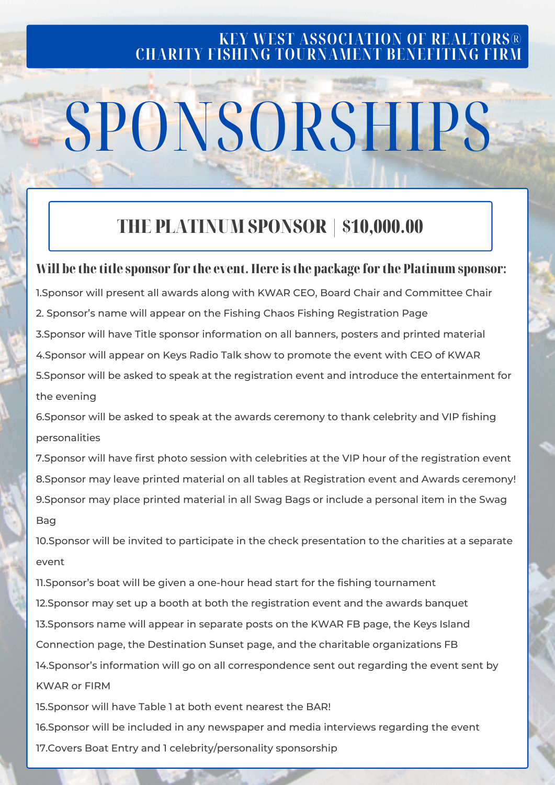#### **KEY WEST ASSOCIATION OF REALTORS® CHARITY FISHING TOURNAMENT BENEFITING FIRM**

# SPONSORSHIPS

### THE PLATINUM SPONSOR | \$10,000.00

#### Will be the title sponsor for the event. Here is the package for the Platinum sponsor:

1.Sponsor will present all awards along with KWAR CEO, Board Chair and Committee Chair 2. Sponsor's name will appear on the Fishing Chaos Fishing Registration Page 3.Sponsor will have Title sponsor information on all banners, posters and printed material 4.Sponsor will appear on Keys Radio Talk show to promote the event with CEO of KWAR 5.Sponsor will be asked to speak at the registration event and introduce the entertainment for the evening

6.Sponsor will be asked to speak at the awards ceremony to thank celebrity and VIP fishing personalities

7.Sponsor will have first photo session with celebrities at the VIP hour of the registration event 8.Sponsor may leave printed material on all tables at Registration event and Awards ceremony! 9.Sponsor may place printed material in all Swag Bags or include a personal item in the Swag Bag

10.Sponsor will be invited to participate in the check presentation to the charities at a separate event

11.Sponsor's boat will be given a one-hour head start for the fishing tournament 12.Sponsor may set up a booth at both the registration event and the awards banquet 13.Sponsors name will appear in separate posts on the KWAR FB page, the Keys Island Connection page, the Destination Sunset page, and the charitable organizations FB 14.Sponsor's information will go on all correspondence sent out regarding the event sent by KWAR or FIRM

15.Sponsor will have Table 1 at both event nearest the BAR!

16.Sponsor will be included in any newspaper and media interviews regarding the event 17.Covers Boat Entry and 1 celebrity/personality sponsorship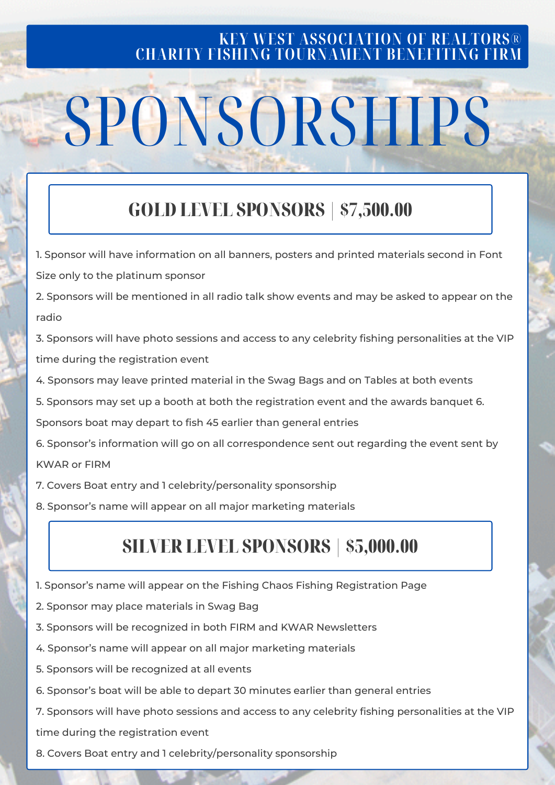#### **KEY WEST ASSOCIATION OF REALTORS® CHARITY FISHING TOURNAMENT BENEFITING FIRM**

## SPONSORSHIPS

## GOLD LEVEL SPONSORS | \$7,500.00

1. Sponsor will have information on all banners, posters and printed materials second in Font Size only to the platinum sponsor

2. Sponsors will be mentioned in all radio talk show events and may be asked to appear on the radio

3. Sponsors will have photo sessions and access to any celebrity fishing personalities at the VIP time during the registration event

- 4. Sponsors may leave printed material in the Swag Bags and on Tables at both events
- 5. Sponsors may set up a booth at both the registration event and the awards banquet 6.

Sponsors boat may depart to fish 45 earlier than general entries

6. Sponsor's information will go on all correspondence sent out regarding the event sent by KWAR or FIRM

- 7. Covers Boat entry and 1 celebrity/personality sponsorship
- 8. Sponsor's name will appear on all major marketing materials

### SILVER LEVEL SPONSORS | \$5,000.00

- 1. Sponsor's name will appear on the Fishing Chaos Fishing Registration Page
- 2. Sponsor may place materials in Swag Bag
- 3. Sponsors will be recognized in both FIRM and KWAR Newsletters
- 4. Sponsor's name will appear on all major marketing materials
- 5. Sponsors will be recognized at all events
- 6. Sponsor's boat will be able to depart 30 minutes earlier than general entries

7. Sponsors will have photo sessions and access to any celebrity fishing personalities at the VIP time during the registration event

8. Covers Boat entry and 1 celebrity/personality sponsorship